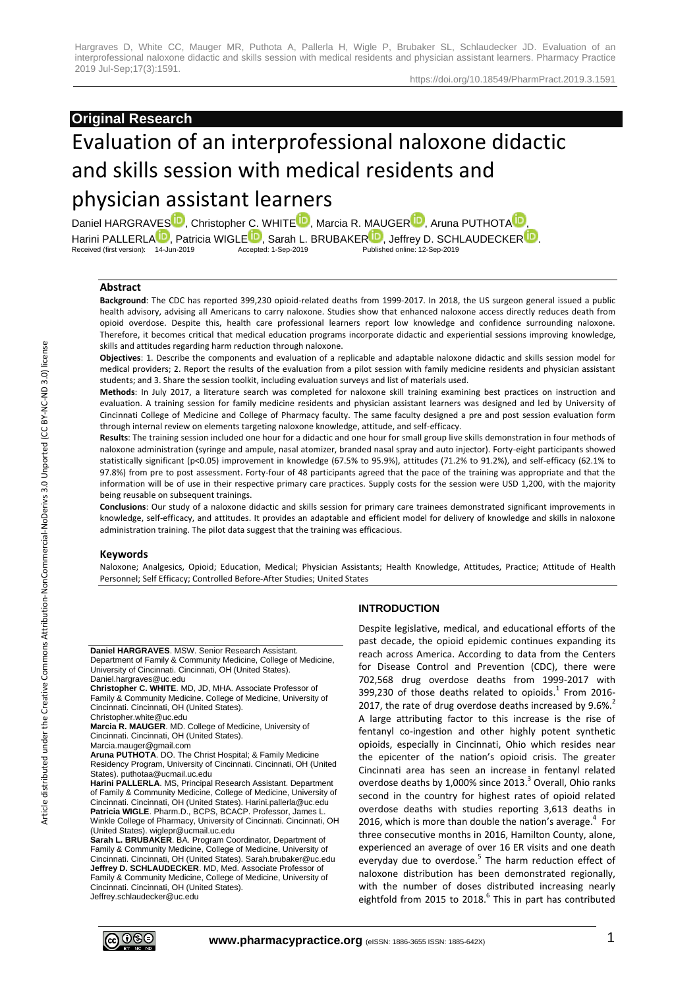#### https://doi.org/10.18549/PharmPract.2019.3.1591

# **Original Research**

# Evaluation of an interprofessional naloxone didactic and skills session with medical residents and

# physician assistant learners

Daniel HARGRAVE[S](http://orcid.org/0000-0002-4058-9724)<sup>D</sup>, Christopher C. WHIT[E](http://orcid.org/0000-0001-6785-6602)<sup>D</sup>, Marcia [R](http://orcid.org/0000-0003-4645-8407). M[A](http://orcid.org/0000-0001-7913-8237)UGER<sup>D</sup>, Aruna PUTHOTA<sup>D</sup> Harini P[A](http://orcid.org/0000-0002-2539-905X)LL[E](http://orcid.org/0000-0002-9251-111X)[R](http://orcid.org/0000-0001-7066-5495)LA<sup>ID</sup>, Patricia WIGLE<sup>ID</sup>, Sarah L[.](http://orcid.org/0000-0002-5230-5741) BRUBAKER<sup>ID</sup>, Jeffrey D. SCHLAUDECKER<sup>ID</sup>.<br>Received (first version): 14-Jun-2019 Accepted: 1-Sep-2019 Published online: 12-Sep-2019 Received (first version): 14-Jun-2019

## **Abstract**

**Background**: The CDC has reported 399,230 opioid-related deaths from 1999-2017. In 2018, the US surgeon general issued a public health advisory, advising all Americans to carry naloxone. Studies show that enhanced naloxone access directly reduces death from opioid overdose. Despite this, health care professional learners report low knowledge and confidence surrounding naloxone. Therefore, it becomes critical that medical education programs incorporate didactic and experiential sessions improving knowledge, skills and attitudes regarding harm reduction through naloxone.

**Objectives**: 1. Describe the components and evaluation of a replicable and adaptable naloxone didactic and skills session model for medical providers; 2. Report the results of the evaluation from a pilot session with family medicine residents and physician assistant students; and 3. Share the session toolkit, including evaluation surveys and list of materials used.

**Methods**: In July 2017, a literature search was completed for naloxone skill training examining best practices on instruction and evaluation. A training session for family medicine residents and physician assistant learners was designed and led by University of Cincinnati College of Medicine and College of Pharmacy faculty. The same faculty designed a pre and post session evaluation form through internal review on elements targeting naloxone knowledge, attitude, and self-efficacy.

**Results**: The training session included one hour for a didactic and one hour for small group live skills demonstration in four methods of naloxone administration (syringe and ampule, nasal atomizer, branded nasal spray and auto injector). Forty-eight participants showed statistically significant (p<0.05) improvement in knowledge (67.5% to 95.9%), attitudes (71.2% to 91.2%), and self-efficacy (62.1% to 97.8%) from pre to post assessment. Forty-four of 48 participants agreed that the pace of the training was appropriate and that the information will be of use in their respective primary care practices. Supply costs for the session were USD 1,200, with the majority being reusable on subsequent trainings.

**Conclusions**: Our study of a naloxone didactic and skills session for primary care trainees demonstrated significant improvements in knowledge, self-efficacy, and attitudes. It provides an adaptable and efficient model for delivery of knowledge and skills in naloxone administration training. The pilot data suggest that the training was efficacious.

#### **Keywords**

Naloxone; Analgesics, Opioid; Education, Medical; Physician Assistants; Health Knowledge, Attitudes, Practice; Attitude of Health Personnel; Self Efficacy; Controlled Before-After Studies; United States

**Daniel HARGRAVES**. MSW. Senior Research Assistant. Department of Family & Community Medicine, College of Medicine, University of Cincinnati. Cincinnati, OH (United States). Daniel.hargraves@uc.edu

**Christopher C. WHITE**. MD, JD, MHA. Associate Professor of Family & Community Medicine. College of Medicine, University of Cincinnati. Cincinnati, OH (United States).

Christopher.white@uc.edu **Marcia R. MAUGER**. MD. College of Medicine, University of Cincinnati. Cincinnati, OH (United States).

Marcia.mauger@gmail.com

**Aruna PUTHOTA**. DO. The Christ Hospital; & Family Medicine Residency Program, University of Cincinnati. Cincinnati, OH (United States). puthotaa@ucmail.uc.edu

**Harini PALLERLA**. MS, Principal Research Assistant. Department of Family & Community Medicine, College of Medicine, University of Cincinnati. Cincinnati, OH (United States). Harini.pallerla@uc.edu **Patricia WIGLE**. Pharm.D., BCPS, BCACP. Professor, James L. Winkle College of Pharmacy, University of Cincinnati. Cincinnati, OH (United States). wiglepr@ucmail.uc.edu

**Sarah L. BRUBAKER**. BA. Program Coordinator, Department of Family & Community Medicine, College of Medicine, University of Cincinnati. Cincinnati, OH (United States). Sarah.brubaker@uc.edu **Jeffrey D. SCHLAUDECKER**. MD, Med. Associate Professor of Family & Community Medicine, College of Medicine, University of Cincinnati. Cincinnati, OH (United States). Jeffrey.schlaudecker@uc.edu

# **INTRODUCTION**

Despite legislative, medical, and educational efforts of the past decade, the opioid epidemic continues expanding its reach across America. According to data from the Centers for Disease Control and Prevention (CDC), there were 702,568 drug overdose deaths from 1999-2017 with 399,230 of those deaths related to opioids.<sup>1</sup> From 2016-2017, the rate of drug overdose deaths increased by  $9.6\%$ . A large attributing factor to this increase is the rise of fentanyl co-ingestion and other highly potent synthetic opioids, especially in Cincinnati, Ohio which resides near the epicenter of the nation's opioid crisis. The greater Cincinnati area has seen an increase in fentanyl related overdose deaths by 1,000% since 2013. 3 Overall, Ohio ranks second in the country for highest rates of opioid related overdose deaths with studies reporting 3,613 deaths in 2016, which is more than double the nation's average. 4 For three consecutive months in 2016, Hamilton County, alone, experienced an average of over 16 ER visits and one death everyday due to overdose.<sup>5</sup> The harm reduction effect of naloxone distribution has been demonstrated regionally, with the number of doses distributed increasing nearly eightfold from 2015 to 2018.<sup>6</sup> This in part has contributed

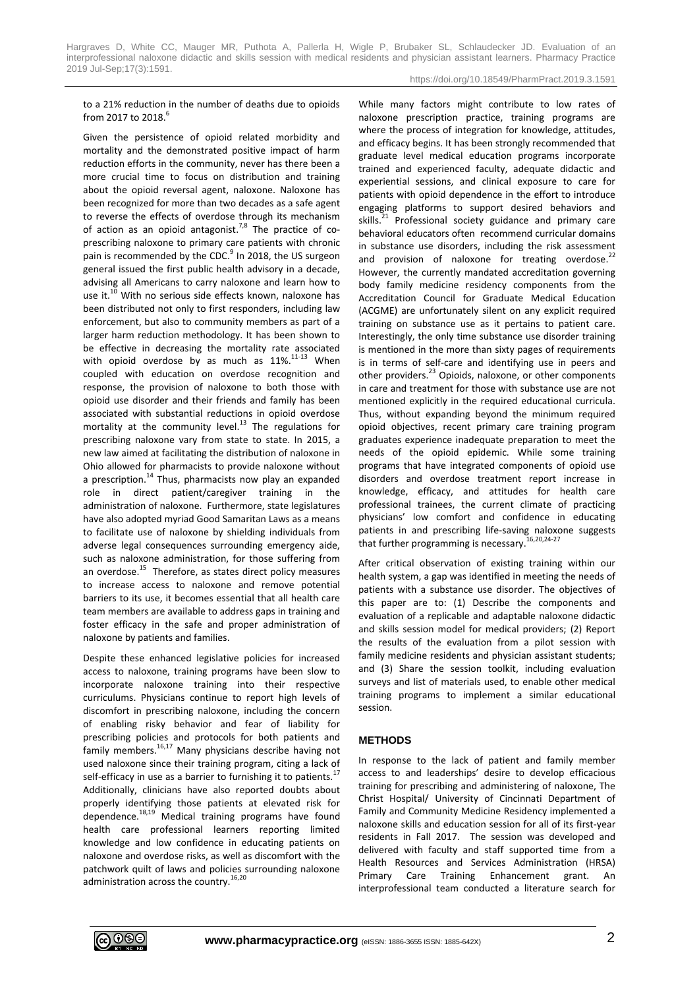#### https://doi.org/10.18549/PharmPract.2019.3.1591

to a 21% reduction in the number of deaths due to opioids from 2017 to 2018. 6

Given the persistence of opioid related morbidity and mortality and the demonstrated positive impact of harm reduction efforts in the community, never has there been a more crucial time to focus on distribution and training about the opioid reversal agent, naloxone. Naloxone has been recognized for more than two decades as a safe agent to reverse the effects of overdose through its mechanism of action as an opioid antagonist.<sup>7,8</sup> The practice of coprescribing naloxone to primary care patients with chronic pain is recommended by the CDC.<sup>9</sup> In 2018, the US surgeon general issued the first public health advisory in a decade, advising all Americans to carry naloxone and learn how to use it.<sup>10</sup> With no serious side effects known, naloxone has been distributed not only to first responders, including law enforcement, but also to community members as part of a larger harm reduction methodology. It has been shown to be effective in decreasing the mortality rate associated with opioid overdose by as much as  $11\%$ .<sup>11-13</sup> When coupled with education on overdose recognition and response, the provision of naloxone to both those with opioid use disorder and their friends and family has been associated with substantial reductions in opioid overdose mortality at the community level. <sup>13</sup> The regulations for prescribing naloxone vary from state to state. In 2015, a new law aimed at facilitating the distribution of naloxone in Ohio allowed for pharmacists to provide naloxone without a prescription.<sup>14</sup> Thus, pharmacists now play an expanded role in direct patient/caregiver training in the administration of naloxone. Furthermore, state legislatures have also adopted myriad Good Samaritan Laws as a means to facilitate use of naloxone by shielding individuals from adverse legal consequences surrounding emergency aide, such as naloxone administration, for those suffering from an overdose.<sup>15</sup> Therefore, as states direct policy measures to increase access to naloxone and remove potential barriers to its use, it becomes essential that all health care team members are available to address gaps in training and foster efficacy in the safe and proper administration of naloxone by patients and families.

Despite these enhanced legislative policies for increased access to naloxone, training programs have been slow to incorporate naloxone training into their respective curriculums. Physicians continue to report high levels of discomfort in prescribing naloxone, including the concern of enabling risky behavior and fear of liability for prescribing policies and protocols for both patients and family members.<sup>16,17</sup> Many physicians describe having not used naloxone since their training program, citing a lack of self-efficacy in use as a barrier to furnishing it to patients.<sup>17</sup> Additionally, clinicians have also reported doubts about properly identifying those patients at elevated risk for dependence. 18,19 Medical training programs have found health care professional learners reporting limited knowledge and low confidence in educating patients on naloxone and overdose risks, as well as discomfort with the patchwork quilt of laws and policies surrounding naloxone administration across the country.<sup>16,20</sup>

While many factors might contribute to low rates of naloxone prescription practice, training programs are where the process of integration for knowledge, attitudes, and efficacy begins. It has been strongly recommended that graduate level medical education programs incorporate trained and experienced faculty, adequate didactic and experiential sessions, and clinical exposure to care for patients with opioid dependence in the effort to introduce engaging platforms to support desired behaviors and skills.<sup>21</sup> Professional society guidance and primary care behavioral educators often recommend curricular domains in substance use disorders, including the risk assessment and provision of naloxone for treating overdose.<sup>22</sup> However, the currently mandated accreditation governing body family medicine residency components from the Accreditation Council for Graduate Medical Education (ACGME) are unfortunately silent on any explicit required training on substance use as it pertains to patient care. Interestingly, the only time substance use disorder training is mentioned in the more than sixty pages of requirements is in terms of self-care and identifying use in peers and other providers.<sup>23</sup> Opioids, naloxone, or other components in care and treatment for those with substance use are not mentioned explicitly in the required educational curricula. Thus, without expanding beyond the minimum required opioid objectives, recent primary care training program graduates experience inadequate preparation to meet the needs of the opioid epidemic. While some training programs that have integrated components of opioid use disorders and overdose treatment report increase in knowledge, efficacy, and attitudes for health care professional trainees, the current climate of practicing physicians' low comfort and confidence in educating patients in and prescribing life-saving naloxone suggests that further programming is necessary.<sup>16,20,24-27</sup>

After critical observation of existing training within our health system, a gap was identified in meeting the needs of patients with a substance use disorder. The objectives of this paper are to: (1) Describe the components and evaluation of a replicable and adaptable naloxone didactic and skills session model for medical providers; (2) Report the results of the evaluation from a pilot session with family medicine residents and physician assistant students; and (3) Share the session toolkit, including evaluation surveys and list of materials used, to enable other medical training programs to implement a similar educational session.

#### **METHODS**

In response to the lack of patient and family member access to and leaderships' desire to develop efficacious training for prescribing and administering of naloxone, The Christ Hospital/ University of Cincinnati Department of Family and Community Medicine Residency implemented a naloxone skills and education session for all of its first-year residents in Fall 2017. The session was developed and delivered with faculty and staff supported time from a Health Resources and Services Administration (HRSA) Primary Care Training Enhancement grant. An interprofessional team conducted a literature search for

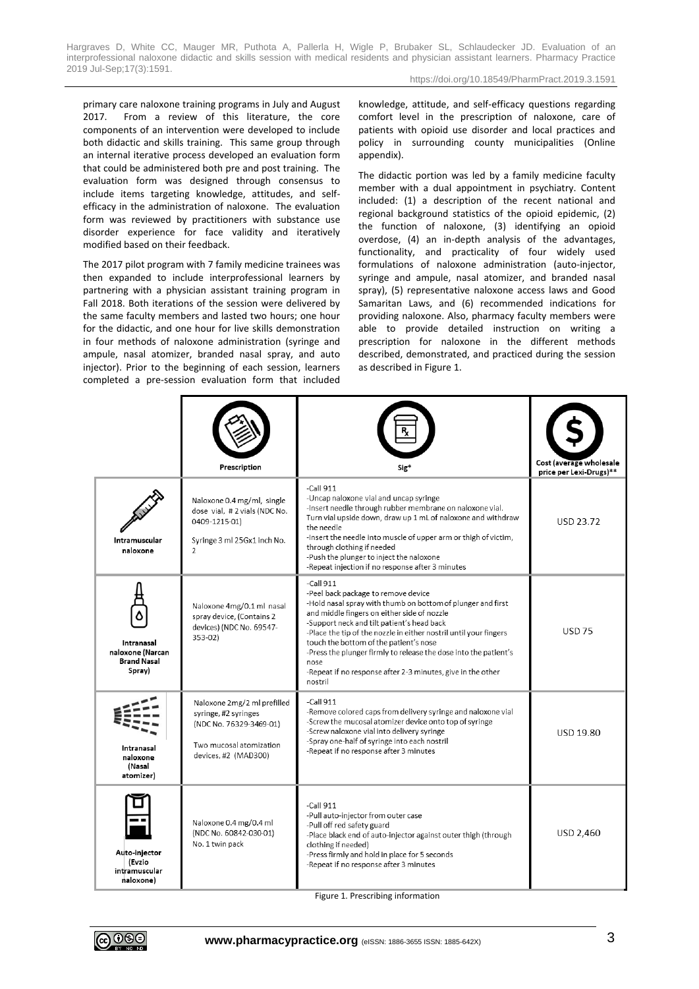https://doi.org/10.18549/PharmPract.2019.3.1591

primary care naloxone training programs in July and August 2017. From a review of this literature, the core components of an intervention were developed to include both didactic and skills training. This same group through an internal iterative process developed an evaluation form that could be administered both pre and post training. The evaluation form was designed through consensus to include items targeting knowledge, attitudes, and selfefficacy in the administration of naloxone. The evaluation form was reviewed by practitioners with substance use disorder experience for face validity and iteratively modified based on their feedback.

The 2017 pilot program with 7 family medicine trainees was then expanded to include interprofessional learners by partnering with a physician assistant training program in Fall 2018. Both iterations of the session were delivered by the same faculty members and lasted two hours; one hour for the didactic, and one hour for live skills demonstration in four methods of naloxone administration (syringe and ampule, nasal atomizer, branded nasal spray, and auto injector). Prior to the beginning of each session, learners completed a pre-session evaluation form that included knowledge, attitude, and self-efficacy questions regarding comfort level in the prescription of naloxone, care of patients with opioid use disorder and local practices and policy in surrounding county municipalities (Online appendix).

The didactic portion was led by a family medicine faculty member with a dual appointment in psychiatry. Content included: (1) a description of the recent national and regional background statistics of the opioid epidemic, (2) the function of naloxone, (3) identifying an opioid overdose, (4) an in-depth analysis of the advantages, functionality, and practicality of four widely used formulations of naloxone administration (auto-injector, syringe and ampule, nasal atomizer, and branded nasal spray), (5) representative naloxone access laws and Good Samaritan Laws, and (6) recommended indications for providing naloxone. Also, pharmacy faculty members were able to provide detailed instruction on writing a prescription for naloxone in the different methods described, demonstrated, and practiced during the session as described in Figure 1.

|                                                                | Prescription                                                                                                                      | Sig <sup>*</sup>                                                                                                                                                                                                                                                                                                                                                                                                                                                                       | Cost (average wholesale<br>price per Lexi-Drugs)** |
|----------------------------------------------------------------|-----------------------------------------------------------------------------------------------------------------------------------|----------------------------------------------------------------------------------------------------------------------------------------------------------------------------------------------------------------------------------------------------------------------------------------------------------------------------------------------------------------------------------------------------------------------------------------------------------------------------------------|----------------------------------------------------|
| Intramuscular<br>naloxone                                      | Naloxone 0.4 mg/ml, single<br>dose vial, #2 vials (NDC No.<br>0409-1215-01)<br>Syringe 3 ml 25Gx1 inch No.<br>$\mathfrak{D}$      | $-Call 911$<br>-Uncap naloxone vial and uncap syringe<br>-Insert needle through rubber membrane on naloxone vial.<br>Turn vial upside down, draw up 1 mL of naloxone and withdraw<br>the needle<br>-Insert the needle into muscle of upper arm or thigh of victim,<br>through clothing if needed<br>-Push the plunger to inject the naloxone<br>-Repeat injection if no response after 3 minutes                                                                                       | USD 23.72                                          |
| Intranasal<br>naloxone (Narcan<br><b>Brand Nasal</b><br>Spray) | Naloxone 4mg/0.1 ml nasal<br>spray device, (Contains 2<br>devices) (NDC No. 69547-<br>353-02)                                     | $-$ Call $911$<br>-Peel back package to remove device<br>-Hold nasal spray with thumb on bottom of plunger and first<br>and middle fingers on either side of nozzle<br>-Support neck and tilt patient's head back<br>-Place the tip of the nozzle in either nostril until your fingers<br>touch the bottom of the patient's nose<br>-Press the plunger firmly to release the dose into the patient's<br>nose<br>-Repeat if no response after 2-3 minutes, give in the other<br>nostril | <b>USD 75</b>                                      |
| Intranasal<br>naloxone<br>(Nasal<br>atomizer)                  | Naloxone 2mg/2 ml prefilled<br>syringe, #2 syringes<br>(NDC No. 76329-3469-01)<br>Two mucosal atomization<br>devices, #2 (MAD300) | $-$ Call 911<br>-Remove colored caps from delivery syringe and naloxone vial<br>-Screw the mucosal atomizer device onto top of syringe<br>-Screw naloxone vial into delivery syringe<br>-Spray one-half of syringe into each nostril<br>-Repeat if no response after 3 minutes                                                                                                                                                                                                         | USD 19.80                                          |
| Auto-injector<br>(Evzio<br>intramuscular<br>naloxone)          | Naloxone 0.4 mg/0.4 ml<br>(NDC No. 60842-030-01)<br>No. 1 twin pack                                                               | $-$ Call 911<br>-Pull auto-injector from outer case<br>-Pull off red safety guard<br>-Place black end of auto-injector against outer thigh (through<br>clothing if needed)<br>-Press firmly and hold in place for 5 seconds<br>-Repeat if no response after 3 minutes                                                                                                                                                                                                                  | USD 2,460                                          |

Figure 1. Prescribing information

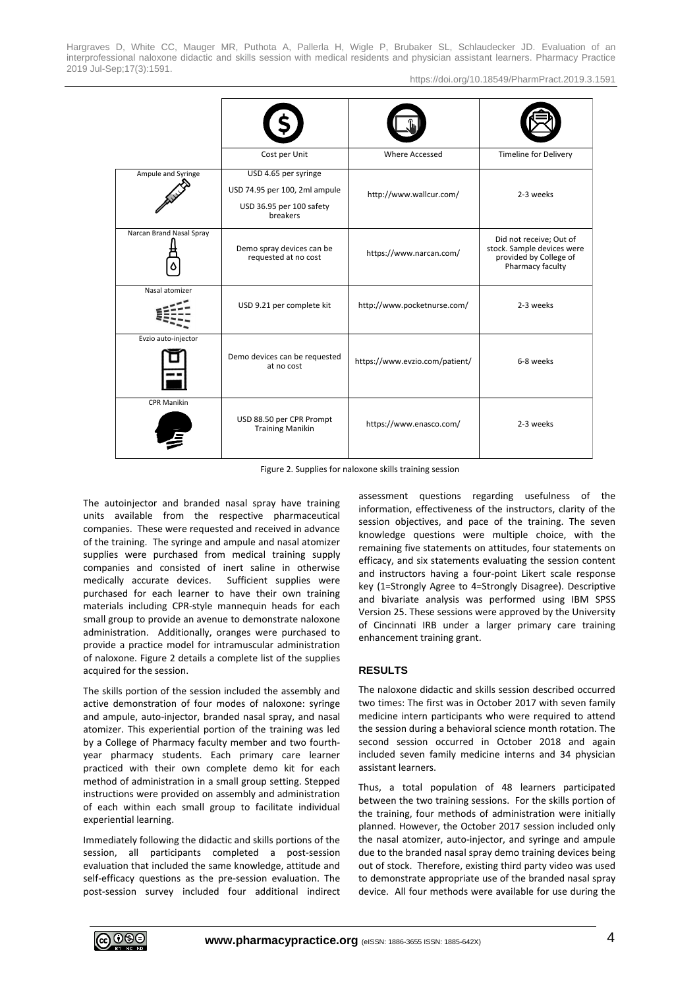https://doi.org/10.18549/PharmPract.2019.3.1591

|                          | Cost per Unit                                                                                 | <b>Where Accessed</b>          | <b>Timeline for Delivery</b>                                                                        |
|--------------------------|-----------------------------------------------------------------------------------------------|--------------------------------|-----------------------------------------------------------------------------------------------------|
| Ampule and Syringe       | USD 4.65 per syringe<br>USD 74.95 per 100, 2ml ampule<br>USD 36.95 per 100 safety<br>breakers | http://www.wallcur.com/        | 2-3 weeks                                                                                           |
| Narcan Brand Nasal Spray | Demo spray devices can be<br>requested at no cost                                             | https://www.narcan.com/        | Did not receive; Out of<br>stock. Sample devices were<br>provided by College of<br>Pharmacy faculty |
| Nasal atomizer           | USD 9.21 per complete kit                                                                     | http://www.pocketnurse.com/    | 2-3 weeks                                                                                           |
| Evzio auto-injector      | Demo devices can be requested<br>at no cost                                                   | https://www.evzio.com/patient/ | 6-8 weeks                                                                                           |
| <b>CPR Manikin</b>       | USD 88.50 per CPR Prompt<br><b>Training Manikin</b>                                           | https://www.enasco.com/        | 2-3 weeks                                                                                           |

Figure 2. Supplies for naloxone skills training session

The autoinjector and branded nasal spray have training units available from the respective pharmaceutical companies. These were requested and received in advance of the training. The syringe and ampule and nasal atomizer supplies were purchased from medical training supply companies and consisted of inert saline in otherwise medically accurate devices. Sufficient supplies were purchased for each learner to have their own training materials including CPR-style mannequin heads for each small group to provide an avenue to demonstrate naloxone administration. Additionally, oranges were purchased to provide a practice model for intramuscular administration of naloxone. Figure 2 details a complete list of the supplies acquired for the session.

The skills portion of the session included the assembly and active demonstration of four modes of naloxone: syringe and ampule, auto-injector, branded nasal spray, and nasal atomizer. This experiential portion of the training was led by a College of Pharmacy faculty member and two fourthyear pharmacy students. Each primary care learner practiced with their own complete demo kit for each method of administration in a small group setting. Stepped instructions were provided on assembly and administration of each within each small group to facilitate individual experiential learning.

Immediately following the didactic and skills portions of the session, all participants completed a post-session evaluation that included the same knowledge, attitude and self-efficacy questions as the pre-session evaluation. The post-session survey included four additional indirect assessment questions regarding usefulness of the information, effectiveness of the instructors, clarity of the session objectives, and pace of the training. The seven knowledge questions were multiple choice, with the remaining five statements on attitudes, four statements on efficacy, and six statements evaluating the session content and instructors having a four-point Likert scale response key (1=Strongly Agree to 4=Strongly Disagree). Descriptive and bivariate analysis was performed using IBM SPSS Version 25. These sessions were approved by the University of Cincinnati IRB under a larger primary care training enhancement training grant.

# **RESULTS**

The naloxone didactic and skills session described occurred two times: The first was in October 2017 with seven family medicine intern participants who were required to attend the session during a behavioral science month rotation. The second session occurred in October 2018 and again included seven family medicine interns and 34 physician assistant learners.

Thus, a total population of 48 learners participated between the two training sessions. For the skills portion of the training, four methods of administration were initially planned. However, the October 2017 session included only the nasal atomizer, auto-injector, and syringe and ampule due to the branded nasal spray demo training devices being out of stock. Therefore, existing third party video was used to demonstrate appropriate use of the branded nasal spray device. All four methods were available for use during the

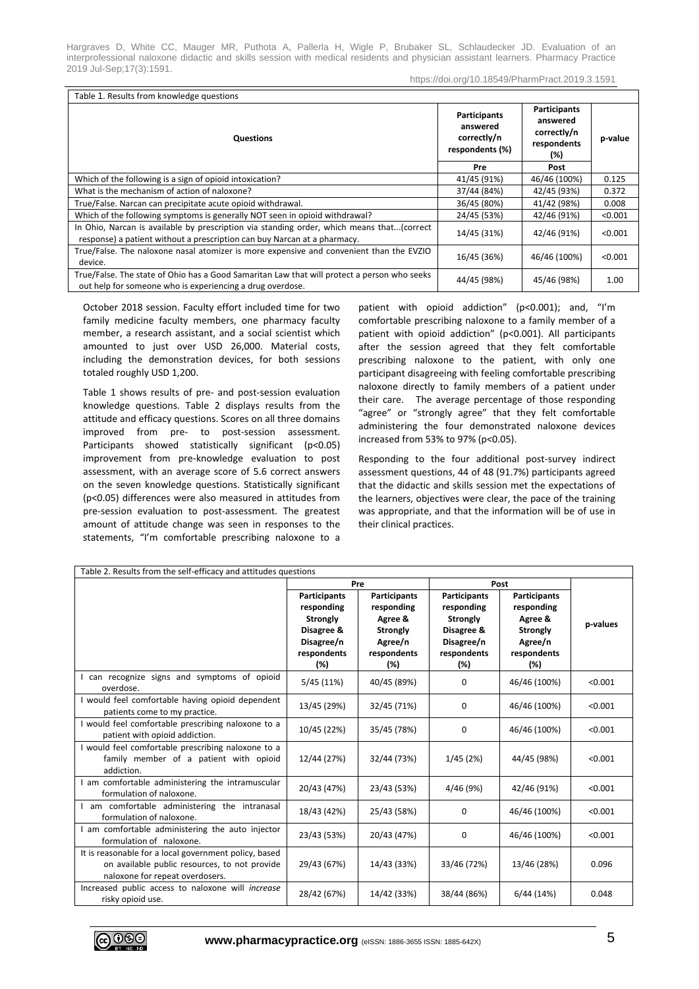https://doi.org/10.18549/PharmPract.2019.3.1591

| Table 1. Results from knowledge questions                                                                                                                             |                                                            |                                                                      |         |  |  |
|-----------------------------------------------------------------------------------------------------------------------------------------------------------------------|------------------------------------------------------------|----------------------------------------------------------------------|---------|--|--|
| Questions                                                                                                                                                             | Participants<br>answered<br>correctly/n<br>respondents (%) | <b>Participants</b><br>answered<br>correctly/n<br>respondents<br>(%) | p-value |  |  |
|                                                                                                                                                                       | Pre                                                        | Post                                                                 |         |  |  |
| Which of the following is a sign of opioid intoxication?                                                                                                              | 41/45 (91%)                                                | 46/46 (100%)                                                         | 0.125   |  |  |
| What is the mechanism of action of naloxone?                                                                                                                          | 37/44 (84%)                                                | 42/45 (93%)                                                          | 0.372   |  |  |
| True/False. Narcan can precipitate acute opioid withdrawal.                                                                                                           | 36/45 (80%)                                                | 41/42 (98%)                                                          | 0.008   |  |  |
| Which of the following symptoms is generally NOT seen in opioid withdrawal?                                                                                           | 24/45 (53%)                                                | 42/46 (91%)                                                          | < 0.001 |  |  |
| In Ohio, Narcan is available by prescription via standing order, which means that(correct<br>response) a patient without a prescription can buy Narcan at a pharmacy. | 14/45 (31%)                                                | 42/46 (91%)                                                          | < 0.001 |  |  |
| True/False. The naloxone nasal atomizer is more expensive and convenient than the EVZIO<br>device.                                                                    | 16/45 (36%)                                                | 46/46 (100%)                                                         | < 0.001 |  |  |
| True/False. The state of Ohio has a Good Samaritan Law that will protect a person who seeks<br>out help for someone who is experiencing a drug overdose.              | 44/45 (98%)                                                | 45/46 (98%)                                                          | 1.00    |  |  |

October 2018 session. Faculty effort included time for two family medicine faculty members, one pharmacy faculty member, a research assistant, and a social scientist which amounted to just over USD 26,000. Material costs, including the demonstration devices, for both sessions totaled roughly USD 1,200.

Table 1 shows results of pre- and post-session evaluation knowledge questions. Table 2 displays results from the attitude and efficacy questions. Scores on all three domains improved from pre- to post-session assessment. Participants showed statistically significant (p<0.05) improvement from pre-knowledge evaluation to post assessment, with an average score of 5.6 correct answers on the seven knowledge questions. Statistically significant (p<0.05) differences were also measured in attitudes from pre-session evaluation to post-assessment. The greatest amount of attitude change was seen in responses to the statements, "I'm comfortable prescribing naloxone to a

patient with opioid addiction" (p<0.001); and, "I'm comfortable prescribing naloxone to a family member of a patient with opioid addiction" (p<0.001). All participants after the session agreed that they felt comfortable prescribing naloxone to the patient, with only one participant disagreeing with feeling comfortable prescribing naloxone directly to family members of a patient under their care. The average percentage of those responding "agree" or "strongly agree" that they felt comfortable administering the four demonstrated naloxone devices increased from 53% to 97% (p<0.05).

Responding to the four additional post-survey indirect assessment questions, 44 of 48 (91.7%) participants agreed that the didactic and skills session met the expectations of the learners, objectives were clear, the pace of the training was appropriate, and that the information will be of use in their clinical practices.

| Table 2. Results from the self-efficacy and attitudes questions                                                                           |                                                                                                        |                                                                                                  |                                                                                                 |                                                                                                  |          |  |
|-------------------------------------------------------------------------------------------------------------------------------------------|--------------------------------------------------------------------------------------------------------|--------------------------------------------------------------------------------------------------|-------------------------------------------------------------------------------------------------|--------------------------------------------------------------------------------------------------|----------|--|
|                                                                                                                                           | Pre                                                                                                    |                                                                                                  | Post                                                                                            |                                                                                                  |          |  |
|                                                                                                                                           | <b>Participants</b><br>responding<br><b>Strongly</b><br>Disagree &<br>Disagree/n<br>respondents<br>(%) | <b>Participants</b><br>responding<br>Agree &<br><b>Strongly</b><br>Agree/n<br>respondents<br>(%) | <b>Participants</b><br>responding<br>Strongly<br>Disagree &<br>Disagree/n<br>respondents<br>(%) | <b>Participants</b><br>responding<br>Agree &<br><b>Strongly</b><br>Agree/n<br>respondents<br>(%) | p-values |  |
| I can recognize signs and symptoms of opioid<br>overdose.                                                                                 | 5/45(11%)                                                                                              | 40/45 (89%)                                                                                      | 0                                                                                               | 46/46 (100%)                                                                                     | < 0.001  |  |
| I would feel comfortable having opioid dependent<br>patients come to my practice.                                                         | 13/45 (29%)                                                                                            | 32/45 (71%)                                                                                      | 0                                                                                               | 46/46 (100%)                                                                                     | < 0.001  |  |
| I would feel comfortable prescribing naloxone to a<br>patient with opioid addiction.                                                      | 10/45 (22%)                                                                                            | 35/45 (78%)                                                                                      | 0                                                                                               | 46/46 (100%)                                                                                     | < 0.001  |  |
| I would feel comfortable prescribing naloxone to a<br>family member of a patient with opioid<br>addiction.                                | 12/44 (27%)                                                                                            | 32/44 (73%)                                                                                      | 1/45(2%)                                                                                        | 44/45 (98%)                                                                                      | < 0.001  |  |
| am comfortable administering the intramuscular<br>formulation of naloxone.                                                                | 20/43 (47%)                                                                                            | 23/43 (53%)                                                                                      | 4/46 (9%)                                                                                       | 42/46 (91%)                                                                                      | < 0.001  |  |
| I am comfortable administering the intranasal<br>formulation of naloxone.                                                                 | 18/43 (42%)                                                                                            | 25/43 (58%)                                                                                      | 0                                                                                               | 46/46 (100%)                                                                                     | < 0.001  |  |
| am comfortable administering the auto injector<br>formulation of naloxone.                                                                | 23/43 (53%)                                                                                            | 20/43 (47%)                                                                                      | 0                                                                                               | 46/46 (100%)                                                                                     | < 0.001  |  |
| It is reasonable for a local government policy, based<br>on available public resources, to not provide<br>naloxone for repeat overdosers. | 29/43 (67%)                                                                                            | 14/43 (33%)                                                                                      | 33/46 (72%)                                                                                     | 13/46 (28%)                                                                                      | 0.096    |  |
| Increased public access to naloxone will increase<br>risky opioid use.                                                                    | 28/42 (67%)                                                                                            | 14/42 (33%)                                                                                      | 38/44 (86%)                                                                                     | 6/44(14%)                                                                                        | 0.048    |  |

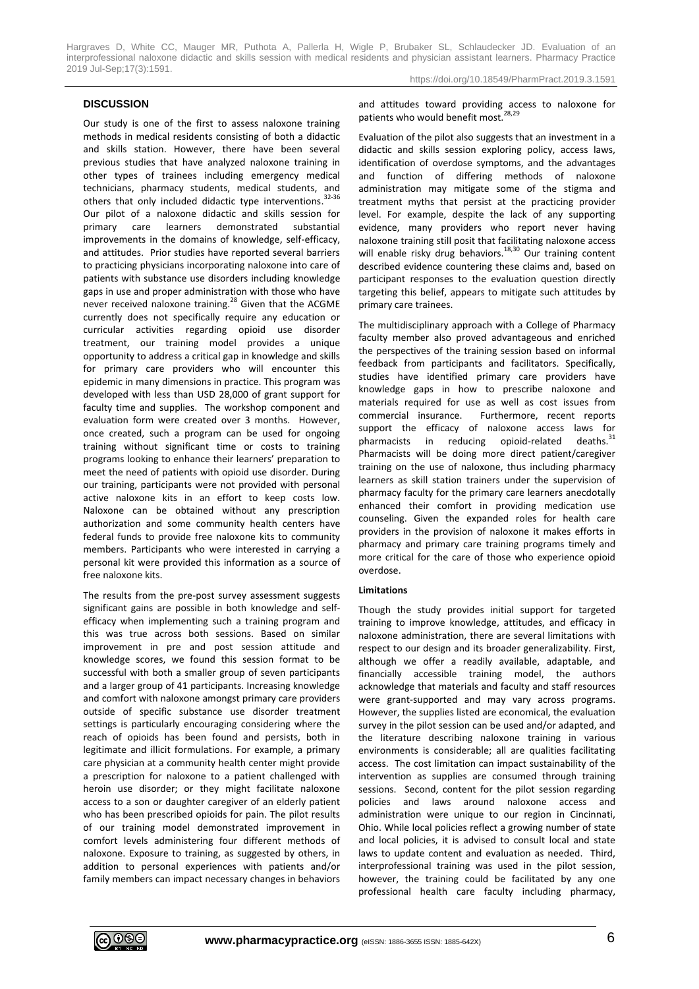#### **DISCUSSION**

Our study is one of the first to assess naloxone training methods in medical residents consisting of both a didactic and skills station. However, there have been several previous studies that have analyzed naloxone training in other types of trainees including emergency medical technicians, pharmacy students, medical students, and others that only included didactic type interventions.<sup>32-36</sup> Our pilot of a naloxone didactic and skills session for primary care learners demonstrated substantial improvements in the domains of knowledge, self-efficacy, and attitudes. Prior studies have reported several barriers to practicing physicians incorporating naloxone into care of patients with substance use disorders including knowledge gaps in use and proper administration with those who have never received naloxone training.<sup>28</sup> Given that the ACGME currently does not specifically require any education or curricular activities regarding opioid use disorder treatment, our training model provides a unique opportunity to address a critical gap in knowledge and skills for primary care providers who will encounter this epidemic in many dimensions in practice. This program was developed with less than USD 28,000 of grant support for faculty time and supplies. The workshop component and evaluation form were created over 3 months. However, once created, such a program can be used for ongoing training without significant time or costs to training programs looking to enhance their learners' preparation to meet the need of patients with opioid use disorder. During our training, participants were not provided with personal active naloxone kits in an effort to keep costs low. Naloxone can be obtained without any prescription authorization and some community health centers have federal funds to provide free naloxone kits to community members. Participants who were interested in carrying a personal kit were provided this information as a source of free naloxone kits.

The results from the pre-post survey assessment suggests significant gains are possible in both knowledge and selfefficacy when implementing such a training program and this was true across both sessions. Based on similar improvement in pre and post session attitude and knowledge scores, we found this session format to be successful with both a smaller group of seven participants and a larger group of 41 participants. Increasing knowledge and comfort with naloxone amongst primary care providers outside of specific substance use disorder treatment settings is particularly encouraging considering where the reach of opioids has been found and persists, both in legitimate and illicit formulations. For example, a primary care physician at a community health center might provide a prescription for naloxone to a patient challenged with heroin use disorder; or they might facilitate naloxone access to a son or daughter caregiver of an elderly patient who has been prescribed opioids for pain. The pilot results of our training model demonstrated improvement in comfort levels administering four different methods of naloxone. Exposure to training, as suggested by others, in addition to personal experiences with patients and/or family members can impact necessary changes in behaviors and attitudes toward providing access to naloxone for patients who would benefit most.<sup>28,29</sup>

Evaluation of the pilot also suggests that an investment in a didactic and skills session exploring policy, access laws, identification of overdose symptoms, and the advantages and function of differing methods of naloxone administration may mitigate some of the stigma and treatment myths that persist at the practicing provider level. For example, despite the lack of any supporting evidence, many providers who report never having naloxone training still posit that facilitating naloxone access will enable risky drug behaviors.<sup>18,30</sup> Our training content described evidence countering these claims and, based on participant responses to the evaluation question directly targeting this belief, appears to mitigate such attitudes by primary care trainees.

The multidisciplinary approach with a College of Pharmacy faculty member also proved advantageous and enriched the perspectives of the training session based on informal feedback from participants and facilitators. Specifically, studies have identified primary care providers have knowledge gaps in how to prescribe naloxone and materials required for use as well as cost issues from commercial insurance. Furthermore, recent reports support the efficacy of naloxone access laws for pharmacists in reducing opioid-related  $deaths.<sup>31</sup>$ Pharmacists will be doing more direct patient/caregiver training on the use of naloxone, thus including pharmacy learners as skill station trainers under the supervision of pharmacy faculty for the primary care learners anecdotally enhanced their comfort in providing medication use counseling. Given the expanded roles for health care providers in the provision of naloxone it makes efforts in pharmacy and primary care training programs timely and more critical for the care of those who experience opioid overdose.

#### **Limitations**

Though the study provides initial support for targeted training to improve knowledge, attitudes, and efficacy in naloxone administration, there are several limitations with respect to our design and its broader generalizability. First, although we offer a readily available, adaptable, and financially accessible training model, the authors acknowledge that materials and faculty and staff resources were grant-supported and may vary across programs. However, the supplies listed are economical, the evaluation survey in the pilot session can be used and/or adapted, and the literature describing naloxone training in various environments is considerable; all are qualities facilitating access. The cost limitation can impact sustainability of the intervention as supplies are consumed through training sessions. Second, content for the pilot session regarding policies and laws around naloxone access and administration were unique to our region in Cincinnati, Ohio. While local policies reflect a growing number of state and local policies, it is advised to consult local and state laws to update content and evaluation as needed. Third, interprofessional training was used in the pilot session, however, the training could be facilitated by any one professional health care faculty including pharmacy,

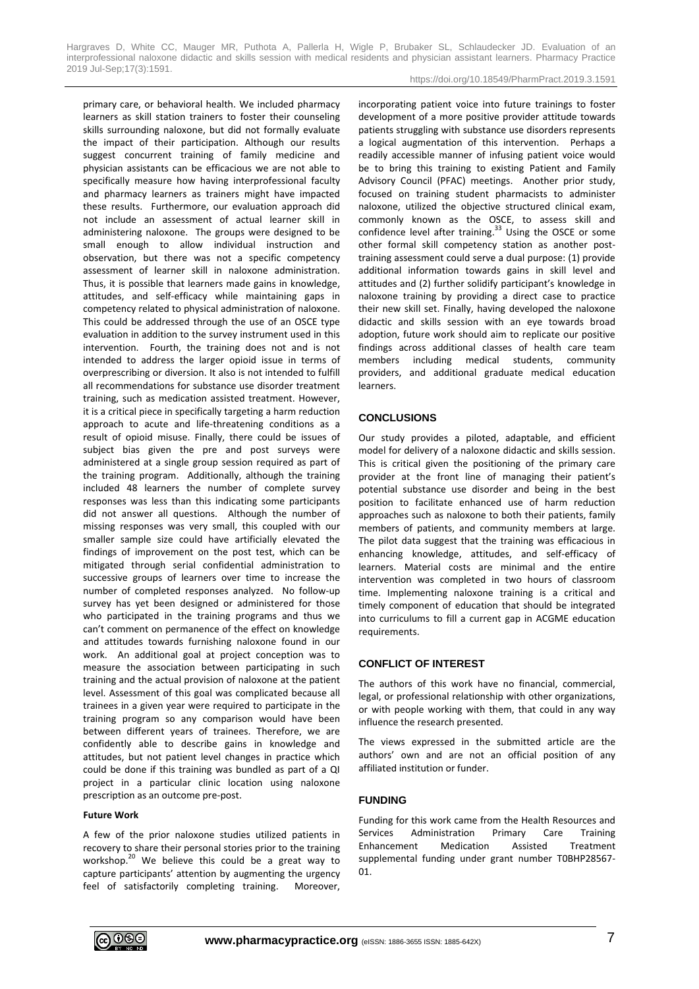https://doi.org/10.18549/PharmPract.2019.3.1591

primary care, or behavioral health. We included pharmacy learners as skill station trainers to foster their counseling skills surrounding naloxone, but did not formally evaluate the impact of their participation. Although our results suggest concurrent training of family medicine and physician assistants can be efficacious we are not able to specifically measure how having interprofessional faculty and pharmacy learners as trainers might have impacted these results. Furthermore, our evaluation approach did not include an assessment of actual learner skill in administering naloxone. The groups were designed to be small enough to allow individual instruction and observation, but there was not a specific competency assessment of learner skill in naloxone administration. Thus, it is possible that learners made gains in knowledge, attitudes, and self-efficacy while maintaining gaps in competency related to physical administration of naloxone. This could be addressed through the use of an OSCE type evaluation in addition to the survey instrument used in this intervention. Fourth, the training does not and is not intended to address the larger opioid issue in terms of overprescribing or diversion. It also is not intended to fulfill all recommendations for substance use disorder treatment training, such as medication assisted treatment. However, it is a critical piece in specifically targeting a harm reduction approach to acute and life-threatening conditions as a result of opioid misuse. Finally, there could be issues of subject bias given the pre and post surveys were administered at a single group session required as part of the training program. Additionally, although the training included 48 learners the number of complete survey responses was less than this indicating some participants did not answer all questions. Although the number of missing responses was very small, this coupled with our smaller sample size could have artificially elevated the findings of improvement on the post test, which can be mitigated through serial confidential administration to successive groups of learners over time to increase the number of completed responses analyzed. No follow-up survey has yet been designed or administered for those who participated in the training programs and thus we can't comment on permanence of the effect on knowledge and attitudes towards furnishing naloxone found in our work. An additional goal at project conception was to measure the association between participating in such training and the actual provision of naloxone at the patient level. Assessment of this goal was complicated because all trainees in a given year were required to participate in the training program so any comparison would have been between different years of trainees. Therefore, we are confidently able to describe gains in knowledge and attitudes, but not patient level changes in practice which could be done if this training was bundled as part of a QI project in a particular clinic location using naloxone prescription as an outcome pre-post.

#### **Future Work**

A few of the prior naloxone studies utilized patients in recovery to share their personal stories prior to the training workshop.<sup>20</sup> We believe this could be a great way to capture participants' attention by augmenting the urgency feel of satisfactorily completing training. Moreover, incorporating patient voice into future trainings to foster development of a more positive provider attitude towards patients struggling with substance use disorders represents a logical augmentation of this intervention. Perhaps a readily accessible manner of infusing patient voice would be to bring this training to existing Patient and Family Advisory Council (PFAC) meetings. Another prior study, focused on training student pharmacists to administer naloxone, utilized the objective structured clinical exam, commonly known as the OSCE, to assess skill and confidence level after training.<sup>33</sup> Using the OSCE or some other formal skill competency station as another posttraining assessment could serve a dual purpose: (1) provide additional information towards gains in skill level and attitudes and (2) further solidify participant's knowledge in naloxone training by providing a direct case to practice their new skill set. Finally, having developed the naloxone didactic and skills session with an eye towards broad adoption, future work should aim to replicate our positive findings across additional classes of health care team members including medical students, community providers, and additional graduate medical education learners.

#### **CONCLUSIONS**

Our study provides a piloted, adaptable, and efficient model for delivery of a naloxone didactic and skills session. This is critical given the positioning of the primary care provider at the front line of managing their patient's potential substance use disorder and being in the best position to facilitate enhanced use of harm reduction approaches such as naloxone to both their patients, family members of patients, and community members at large. The pilot data suggest that the training was efficacious in enhancing knowledge, attitudes, and self-efficacy of learners. Material costs are minimal and the entire intervention was completed in two hours of classroom time. Implementing naloxone training is a critical and timely component of education that should be integrated into curriculums to fill a current gap in ACGME education requirements.

## **CONFLICT OF INTEREST**

The authors of this work have no financial, commercial, legal, or professional relationship with other organizations, or with people working with them, that could in any way influence the research presented.

The views expressed in the submitted article are the authors' own and are not an official position of any affiliated institution or funder.

#### **FUNDING**

Funding for this work came from the Health Resources and Services Administration Primary Care Training Enhancement Medication Assisted Treatment supplemental funding under grant number T0BHP28567- 01.

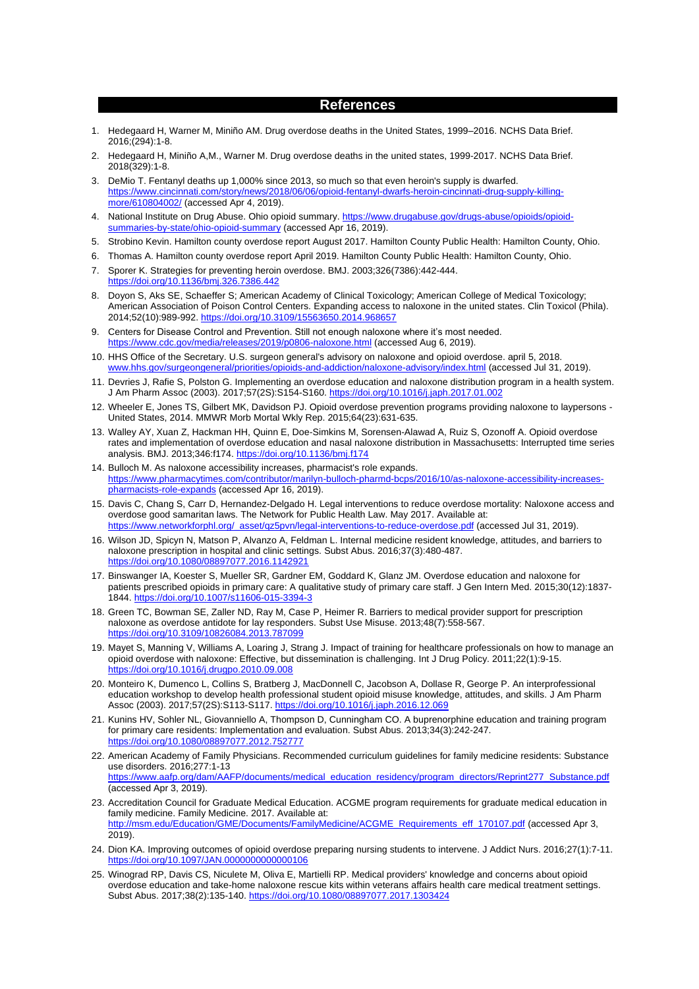## **References**

- 1. Hedegaard H, Warner M, Miniño AM. Drug overdose deaths in the United States, 1999–2016. NCHS Data Brief. 2016;(294):1-8.
- 2. Hedegaard H, Miniño A,M., Warner M. Drug overdose deaths in the united states, 1999-2017. NCHS Data Brief. 2018(329):1-8.
- 3. DeMio T. Fentanyl deaths up 1,000% since 2013, so much so that even heroin's supply is dwarfed. [https://www.cincinnati.com/story/news/2018/06/06/opioid-fentanyl-dwarfs-heroin-cincinnati-drug-supply-killing](https://www.cincinnati.com/story/news/2018/06/06/opioid-fentanyl-dwarfs-heroin-cincinnati-drug-supply-killing-more/610804002/)[more/610804002/](https://www.cincinnati.com/story/news/2018/06/06/opioid-fentanyl-dwarfs-heroin-cincinnati-drug-supply-killing-more/610804002/) (accessed Apr 4, 2019).
- 4. National Institute on Drug Abuse. Ohio opioid summary. [https://www.drugabuse.gov/drugs-abuse/opioids/opioid](https://www.drugabuse.gov/drugs-abuse/opioids/opioid-summaries-by-state/ohio-opioid-summary)[summaries-by-state/ohio-opioid-summary](https://www.drugabuse.gov/drugs-abuse/opioids/opioid-summaries-by-state/ohio-opioid-summary) (accessed Apr 16, 2019).
- 5. Strobino Kevin. Hamilton county overdose report August 2017. Hamilton County Public Health: Hamilton County, Ohio.
- 6. Thomas A. Hamilton county overdose report April 2019. Hamilton County Public Health: Hamilton County, Ohio.
- 7. Sporer K. Strategies for preventing heroin overdose. BMJ. 2003;326(7386):442-444. https://doi.org/10.1136/hmi.326.7386.443
- 8. Doyon S, Aks SE, Schaeffer S; American Academy of Clinical Toxicology; American College of Medical Toxicology; American Association of Poison Control Centers. Expanding access to naloxone in the united states. Clin Toxicol (Phila). 2014;52(10):989-992[. https://doi.org/10.3109/15563650.2014.968657](https://doi.org/10.3109/15563650.2014.968657)
- 9. Centers for Disease Control and Prevention. Still not enough naloxone where it's most needed. <https://www.cdc.gov/media/releases/2019/p0806-naloxone.html> (accessed Aug 6, 2019).
- 10. HHS Office of the Secretary. U.S. surgeon general's advisory on naloxone and opioid overdose. april 5, 2018. by/surgeongeneral/priorities/opioids-and-addiction/naloxone-advisory/index.html (accessed Jul 31, 2019).
- 11. Devries J, Rafie S, Polston G. Implementing an overdose education and naloxone distribution program in a health system. J Am Pharm Assoc (2003). 2017;57(2S):S154-S160[. https://doi.org/10.1016/j.japh.2017.01.002](https://doi.org/10.1016/j.japh.2017.01.002)
- 12. Wheeler E, Jones TS, Gilbert MK, Davidson PJ. Opioid overdose prevention programs providing naloxone to laypersons United States, 2014. MMWR Morb Mortal Wkly Rep. 2015;64(23):631-635.
- 13. Walley AY, Xuan Z, Hackman HH, Quinn E, Doe-Simkins M, Sorensen-Alawad A, Ruiz S, Ozonoff A. Opioid overdose rates and implementation of overdose education and nasal naloxone distribution in Massachusetts: Interrupted time series analysis. BMJ. 2013;346:f174[. https://doi.org/10.1136/bmj.f174](https://doi.org/10.1136/bmj.f174)
- 14. Bulloch M. As naloxone accessibility increases, pharmacist's role expands. [https://www.pharmacytimes.com/contributor/marilyn-bulloch-pharmd-bcps/2016/10/as-naloxone-accessibility-increases](https://www.pharmacytimes.com/contributor/marilyn-bulloch-pharmd-bcps/2016/10/as-naloxone-accessibility-increases-pharmacists-role-expands)[pharmacists-role-expands](https://www.pharmacytimes.com/contributor/marilyn-bulloch-pharmd-bcps/2016/10/as-naloxone-accessibility-increases-pharmacists-role-expands) (accessed Apr 16, 2019).
- 15. Davis C, Chang S, Carr D, Hernandez-Delgado H. Legal interventions to reduce overdose mortality: Naloxone access and overdose good samaritan laws. The Network for Public Health Law. May 2017. Available at: [https://www.networkforphl.org/\\_asset/qz5pvn/legal-interventions-to-reduce-overdose.pdf](https://www.networkforphl.org/_asset/qz5pvn/legal-interventions-to-reduce-overdose.pdf) (accessed Jul 31, 2019).
- 16. Wilson JD, Spicyn N, Matson P, Alvanzo A, Feldman L. Internal medicine resident knowledge, attitudes, and barriers to naloxone prescription in hospital and clinic settings. Subst Abus. 2016;37(3):480-487. <https://doi.org/10.1080/08897077.2016.1142921>
- 17. Binswanger IA, Koester S, Mueller SR, Gardner EM, Goddard K, Glanz JM. Overdose education and naloxone for patients prescribed opioids in primary care: A qualitative study of primary care staff. J Gen Intern Med. 2015;30(12):1837- 1844[. https://doi.org/10.1007/s11606-015-3394-3](https://doi.org/10.1007/s11606-015-3394-3)
- 18. Green TC, Bowman SE, Zaller ND, Ray M, Case P, Heimer R. Barriers to medical provider support for prescription naloxone as overdose antidote for lay responders. Subst Use Misuse. 2013;48(7):558-567. <https://doi.org/10.3109/10826084.2013.787099>
- 19. Mayet S, Manning V, Williams A, Loaring J, Strang J. Impact of training for healthcare professionals on how to manage an opioid overdose with naloxone: Effective, but dissemination is challenging. Int J Drug Policy. 2011;22(1):9-15. <https://doi.org/10.1016/j.drugpo.2010.09.008>
- 20. Monteiro K, Dumenco L, Collins S, Bratberg J, MacDonnell C, Jacobson A, Dollase R, George P. An interprofessional education workshop to develop health professional student opioid misuse knowledge, attitudes, and skills. J Am Pharm Assoc (2003). 2017;57(2S):S113-S117[. https://doi.org/10.1016/j.japh.2016.12.069](https://doi.org/10.1016/j.japh.2016.12.069)
- 21. Kunins HV, Sohler NL, Giovanniello A, Thompson D, Cunningham CO. A buprenorphine education and training program for primary care residents: Implementation and evaluation. Subst Abus. 2013;34(3):242-247. <https://doi.org/10.1080/08897077.2012.752777>
- 22. American Academy of Family Physicians. Recommended curriculum guidelines for family medicine residents: Substance use disorders. 2016;277:1-13 [https://www.aafp.org/dam/AAFP/documents/medical\\_education\\_residency/program\\_directors/Reprint277\\_Substance.pdf](https://www.aafp.org/dam/AAFP/documents/medical_education_residency/program_directors/Reprint277_Substance.pdf) (accessed Apr 3, 2019).
- 23. Accreditation Council for Graduate Medical Education. ACGME program requirements for graduate medical education in family medicine. Family Medicine. 2017. Available at: [http://msm.edu/Education/GME/Documents/FamilyMedicine/ACGME\\_Requirements\\_eff\\_170107.pdf](http://msm.edu/Education/GME/Documents/FamilyMedicine/ACGME_Requirements_eff_170107.pdf) (accessed Apr 3, 2019).
- 24. Dion KA. Improving outcomes of opioid overdose preparing nursing students to intervene. J Addict Nurs. 2016;27(1):7-11. <https://doi.org/10.1097/JAN.0000000000000106>
- 25. Winograd RP, Davis CS, Niculete M, Oliva E, Martielli RP. Medical providers' knowledge and concerns about opioid overdose education and take-home naloxone rescue kits within veterans affairs health care medical treatment settings. Subst Abus. 2017;38(2):135-140.<https://doi.org/10.1080/08897077.2017.1303424>